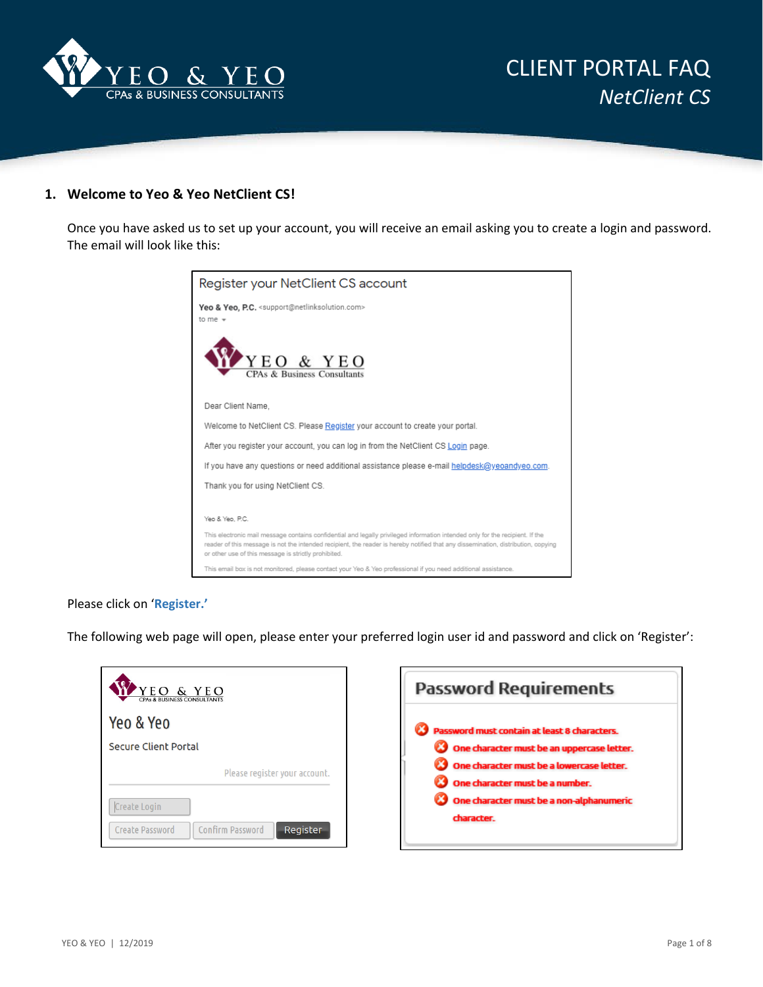

## **1. Welcome to Yeo & Yeo NetClient CS!**

Once you have asked us to set up your account, you will receive an email asking you to create a login and password. The email will look like this:

| Register your NetClient CS account                                                                                                                                                                                                                                                                                         |
|----------------------------------------------------------------------------------------------------------------------------------------------------------------------------------------------------------------------------------------------------------------------------------------------------------------------------|
| Yeo & Yeo, P.C. <support@netlinksolution.com><br/>to me <math>\sqrt{ }</math></support@netlinksolution.com>                                                                                                                                                                                                                |
| YEO & YEO<br>CPAs & Business Consu                                                                                                                                                                                                                                                                                         |
| Dear Client Name.                                                                                                                                                                                                                                                                                                          |
| Welcome to NetClient CS. Please Register your account to create your portal.                                                                                                                                                                                                                                               |
| After you register your account, you can log in from the NetClient CS Login page.                                                                                                                                                                                                                                          |
| If you have any questions or need additional assistance please e-mail helpdesk@yeoandyeo.com.                                                                                                                                                                                                                              |
| Thank you for using NetClient CS.                                                                                                                                                                                                                                                                                          |
|                                                                                                                                                                                                                                                                                                                            |
| Yeo & Yeo, P.C.                                                                                                                                                                                                                                                                                                            |
| This electronic mail message contains confidential and legally privileged information intended only for the recipient. If the<br>reader of this message is not the intended recipient, the reader is hereby notified that any dissemination, distribution, copying<br>or other use of this message is strictly prohibited. |
| This email box is not monitored, please contact your Yeo & Yeo professional if you need additional assistance.                                                                                                                                                                                                             |

### Please click on '**Register.'**

The following web page will open, please enter your preferred login user id and password and click on 'Register':

| EO & YEO<br><b>PAs &amp; BUSINESS CONSULTANTS</b>                      | <b>Password Requirements</b>                                                                                               |
|------------------------------------------------------------------------|----------------------------------------------------------------------------------------------------------------------------|
| Yeo & Yeo<br><b>Secure Client Portal</b>                               | Password must contain at least 8 characters.                                                                               |
| Please register your account.                                          | One character must be an uppercase letter.<br>One character must be a lowercase letter.<br>One character must be a number. |
| Create Login<br>Confirm Password<br>Register<br><b>Create Password</b> | One character must be a non-alphanumeric<br>character.                                                                     |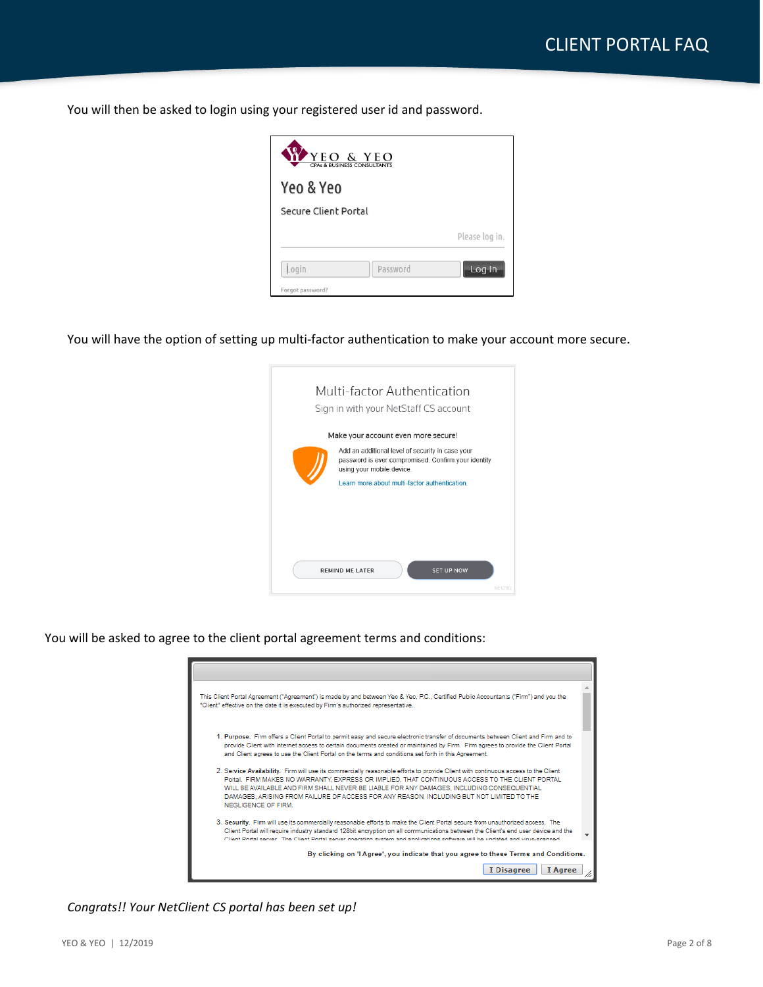You will then be asked to login using your registered user id and password.



You will have the option of setting up multi-factor authentication to make your account more secure.

| Multi-factor Authentication<br>Sign in with your NetStaff CS account                                                                 |           |
|--------------------------------------------------------------------------------------------------------------------------------------|-----------|
| Make your account even more secure!                                                                                                  |           |
| Add an additional level of security in case your<br>password is ever compromised. Confirm your identity<br>using your mobile device. |           |
| Learn more about multi-factor authentication                                                                                         |           |
|                                                                                                                                      |           |
|                                                                                                                                      |           |
|                                                                                                                                      |           |
| <b>REMIND ME LATER</b><br><b>SET UP NOW</b>                                                                                          |           |
|                                                                                                                                      | fid-12152 |

You will be asked to agree to the client portal agreement terms and conditions:

| This Client Portal Agreement ("Agreement") is made by and between Yeo & Yeo, P.C., Certified Public Accountants ("Firm") and you the<br>"Client" effective on the date it is executed by Firm's authorized representative.                                                                                                                                                                                                                           |  |
|------------------------------------------------------------------------------------------------------------------------------------------------------------------------------------------------------------------------------------------------------------------------------------------------------------------------------------------------------------------------------------------------------------------------------------------------------|--|
| 1. Purpose. Firm offers a Client Portal to permit easy and secure electronic transfer of documents between Client and Firm and to<br>provide Client with internet access to certain documents created or maintained by Firm. Firm agrees to provide the Client Portal<br>and Client agrees to use the Client Portal on the terms and conditions set forth in this Agreement.                                                                         |  |
| 2. Service Availability. Firm will use its commercially reasonable efforts to provide Client with continuous access to the Client<br>Portal. FIRM MAKES NO WARRANTY, EXPRESS OR IMPLIED. THAT CONTINUOUS ACCESS TO THE CLIENT PORTAL<br>WILL BE AVAILABLE AND FIRM SHALL NEVER BE LIABLE FOR ANY DAMAGES. INCLUDING CONSEQUENTIAL<br>DAMAGES, ARISING FROM FAILURE OF ACCESS FOR ANY REASON. INCLUDING BUT NOT LIMITED TO THE<br>NEGLIGENCE OF FIRM. |  |
| 3. Security. Firm will use its commercially reasonable efforts to make the Client Portal secure from unauthorized access. The<br>Client Portal will require industry standard 128bit encryption on all communications between the Client's end user device and the<br>Client Portal corver. The Client Portal corver operating cyclom and applications software will be undated and virus coapped.                                                   |  |
| By clicking on 'I Agree', you indicate that you agree to these Terms and Conditions.<br>I Disagree<br>I Agree                                                                                                                                                                                                                                                                                                                                        |  |

*Congrats!! Your NetClient CS portal has been set up!*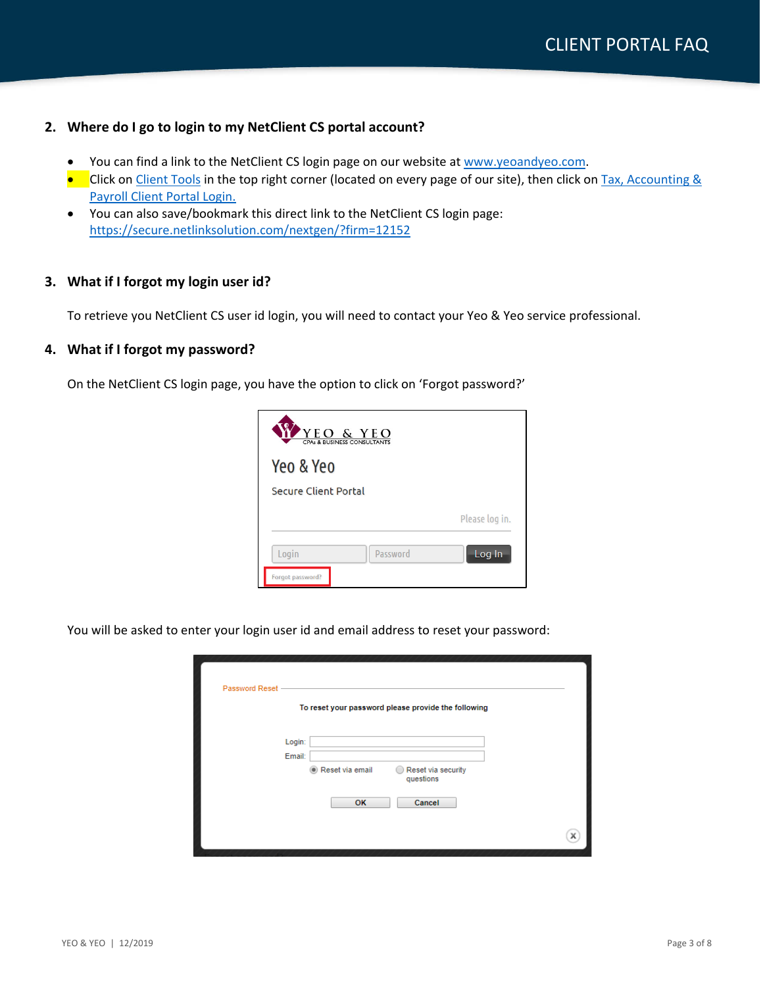## **2. Where do I go to login to my NetClient CS portal account?**

- You can find a link to the NetClient CS login page on our website at [www.yeoandyeo.com.](http://www.yeoandyeo.com/)
- Click on [Client Tools](https://www.yeoandyeo.com/client-tools) in the top right corner (located on every page of our site), then click on Tax, Accounting & [Payroll Client Portal Login.](https://secure.netlinksolution.com/nextgen/?firm=12152)
- You can also save/bookmark this direct link to the NetClient CS login page: <https://secure.netlinksolution.com/nextgen/?firm=12152>

## **3. What if I forgot my login user id?**

To retrieve you NetClient CS user id login, you will need to contact your Yeo & Yeo service professional.

### **4. What if I forgot my password?**

On the NetClient CS login page, you have the option to click on 'Forgot password?'



You will be asked to enter your login user id and email address to reset your password:

| Password Reset - |                  |                       |                                                         |  |
|------------------|------------------|-----------------------|---------------------------------------------------------|--|
|                  | Login:<br>Email: |                       | To reset your password please provide the following     |  |
|                  |                  | Reset via email<br>OK | Reset via security<br>$\bigcirc$<br>questions<br>Cancel |  |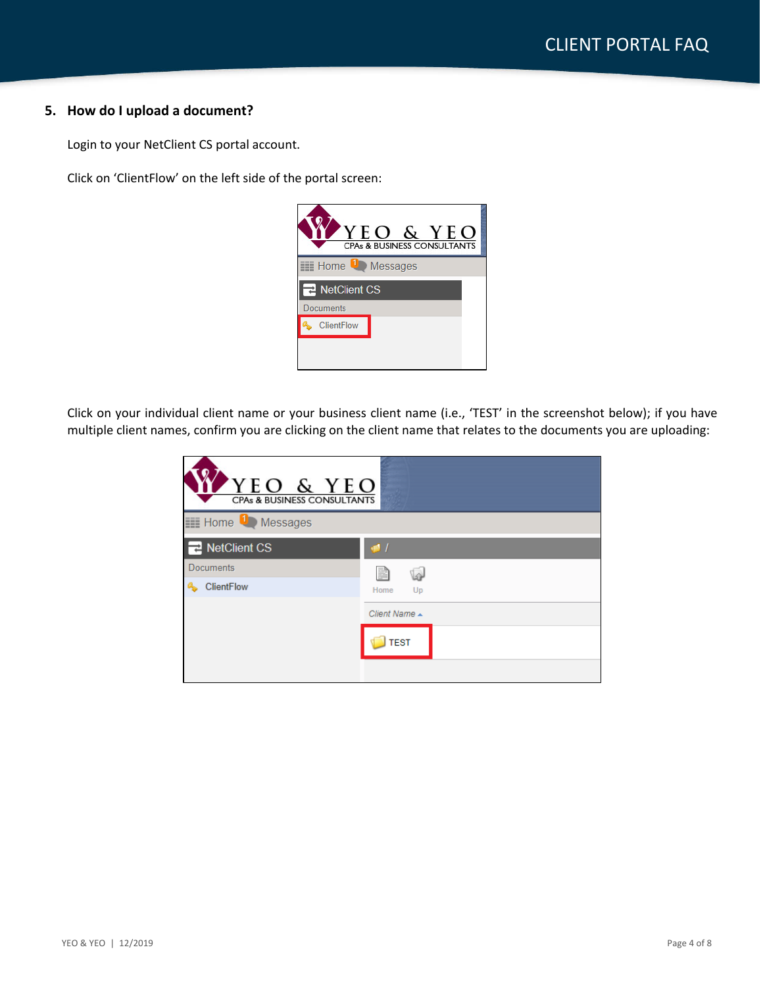## **5. How do I upload a document?**

Login to your NetClient CS portal account.

Click on 'ClientFlow' on the left side of the portal screen:



Click on your individual client name or your business client name (i.e., 'TEST' in the screenshot below); if you have multiple client names, confirm you are clicking on the client name that relates to the documents you are uploading:

| YEO & YEO<br><b>CPAs &amp; BUSINESS CONSULTANTS</b> |                |  |  |  |
|-----------------------------------------------------|----------------|--|--|--|
| <b>Example 1</b> Messages                           |                |  |  |  |
| <b>NetClient CS</b>                                 | $\blacksquare$ |  |  |  |
| <b>Documents</b>                                    | P              |  |  |  |
| <b>ClientFlow</b>                                   | Home<br>Up     |  |  |  |
|                                                     | Client Name ▲  |  |  |  |
|                                                     | <b>TEST</b>    |  |  |  |
|                                                     |                |  |  |  |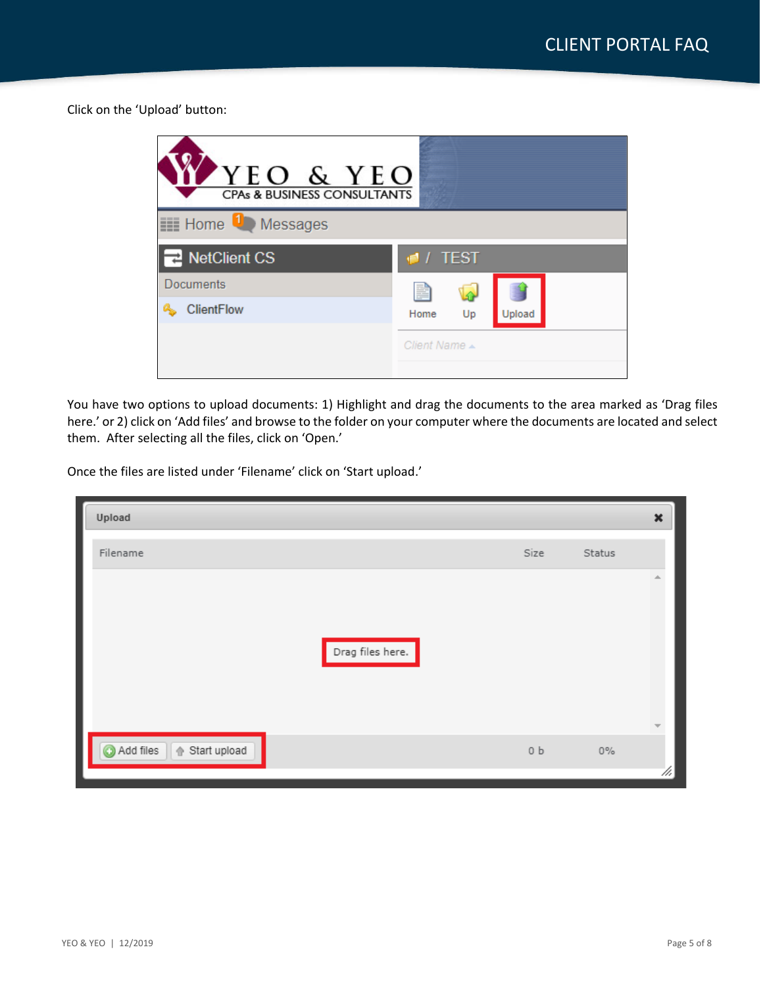Click on the 'Upload' button:



You have two options to upload documents: 1) Highlight and drag the documents to the area marked as 'Drag files here.' or 2) click on 'Add files' and browse to the folder on your computer where the documents are located and select them. After selecting all the files, click on 'Open.'

Once the files are listed under 'Filename' click on 'Start upload.'

| ı<br>Upload                 |                  |                |        | $\pmb{\times}$           |
|-----------------------------|------------------|----------------|--------|--------------------------|
| Filename                    |                  | Size           | Status |                          |
|                             |                  |                |        | 盀                        |
|                             |                  |                |        |                          |
|                             | Drag files here. |                |        |                          |
|                             |                  |                |        |                          |
|                             |                  |                |        | $\overline{\phantom{a}}$ |
| Add files<br>企 Start upload |                  | 0 <sub>b</sub> | $0\%$  |                          |
|                             |                  |                |        | 11.                      |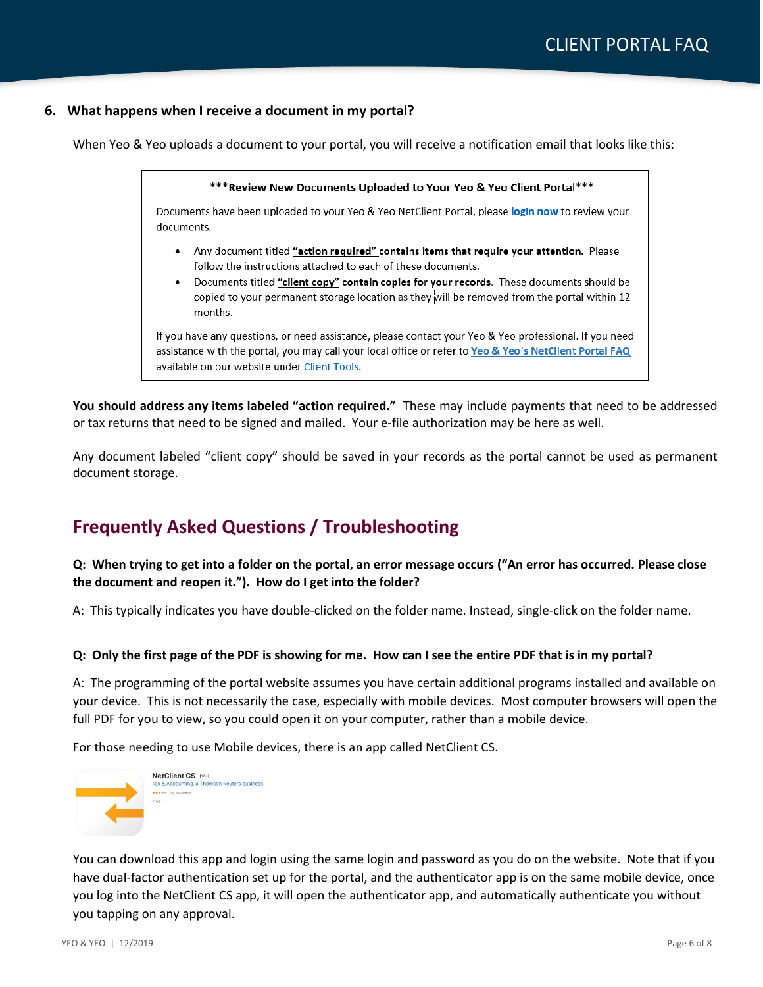## **6. What happens when I receive a document in my portal?**

When Yeo & Yeo uploads a document to your portal, you will receive a notification email that looks like this:

\*\*\* Review New Documents Uploaded to Your Yeo & Yeo Client Portal\*\*\* Documents have been uploaded to your Yeo & Yeo NetClient Portal, please login now to review your documents. • Any document titled "action required" contains items that require your attention. Please follow the instructions attached to each of these documents. Documents titled "client copy" contain copies for your records. These documents should be copied to your permanent storage location as they will be removed from the portal within 12 months. If you have any questions, or need assistance, please contact your Yeo & Yeo professional. If you need assistance with the portal, you may call your local office or refer to Yeo & Yeo's NetClient Portal FAQ

**You should address any items labeled "action required."** These may include payments that need to be addressed or tax returns that need to be signed and mailed. Your e-file authorization may be here as well.

Any document labeled "client copy" should be saved in your records as the portal cannot be used as permanent document storage.

## **Frequently Asked Questions / Troubleshooting**

available on our website under Client Tools.

## **Q: When trying to get into a folder on the portal, an error message occurs ("An error has occurred. Please close the document and reopen it."). How do I get into the folder?**

A: This typically indicates you have double-clicked on the folder name. Instead, single-click on the folder name.

### **Q: Only the first page of the PDF is showing for me. How can I see the entire PDF that is in my portal?**

A: The programming of the portal website assumes you have certain additional programs installed and available on your device. This is not necessarily the case, especially with mobile devices. Most computer browsers will open the full PDF for you to view, so you could open it on your computer, rather than a mobile device.

For those needing to use Mobile devices, there is an app called NetClient CS.



You can download this app and login using the same login and password as you do on the website. Note that if you have dual-factor authentication set up for the portal, and the authenticator app is on the same mobile device, once you log into the NetClient CS app, it will open the authenticator app, and automatically authenticate you without you tapping on any approval.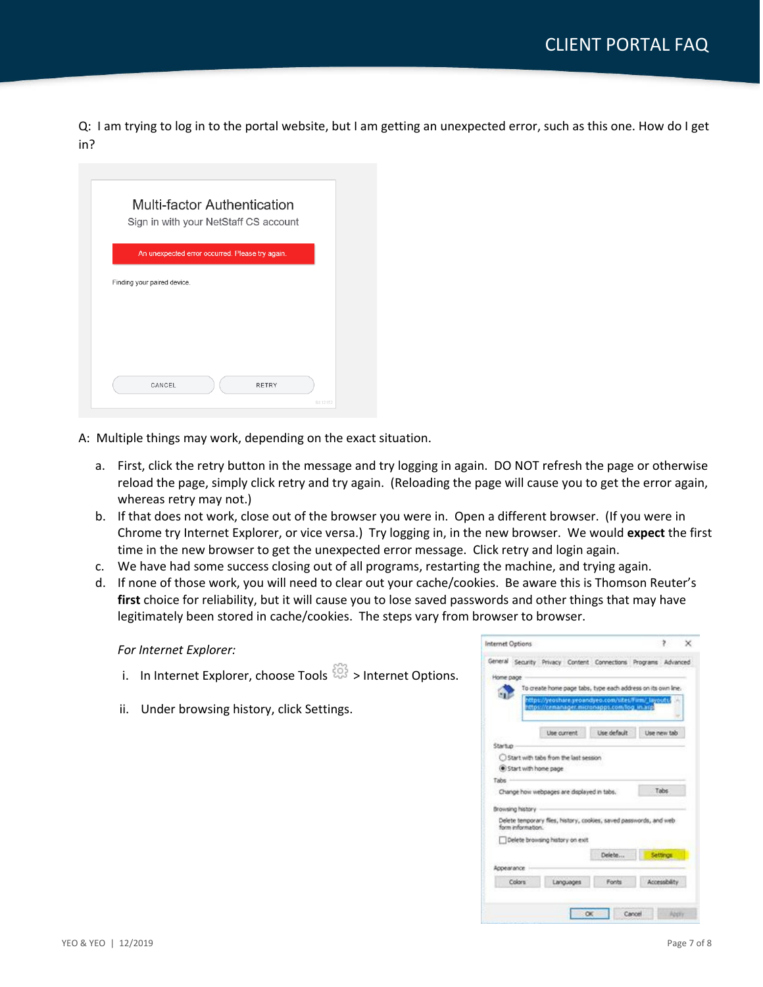Q: I am trying to log in to the portal website, but I am getting an unexpected error, such as this one. How do I get in?

| Sign in with your NetStaff CS account           |              |  |
|-------------------------------------------------|--------------|--|
| An unexpected error occurred. Please try again. |              |  |
|                                                 |              |  |
| Finding your paired device.                     |              |  |
|                                                 |              |  |
|                                                 |              |  |
|                                                 |              |  |
|                                                 |              |  |
|                                                 | <b>RETRY</b> |  |

- A: Multiple things may work, depending on the exact situation.
	- a. First, click the retry button in the message and try logging in again. DO NOT refresh the page or otherwise reload the page, simply click retry and try again. (Reloading the page will cause you to get the error again, whereas retry may not.)
	- b. If that does not work, close out of the browser you were in. Open a different browser. (If you were in Chrome try Internet Explorer, or vice versa.) Try logging in, in the new browser. We would **expect** the first time in the new browser to get the unexpected error message. Click retry and login again.
	- c. We have had some success closing out of all programs, restarting the machine, and trying again.
	- d. If none of those work, you will need to clear out your cache/cookies. Be aware this is Thomson Reuter's **first** choice for reliability, but it will cause you to lose saved passwords and other things that may have legitimately been stored in cache/cookies. The steps vary from browser to browser.

#### *For Internet Explorer:*

- i. In Internet Explorer, choose Tools  $\frac{253}{203}$  > Internet Options.
- ii. Under browsing history, click Settings.

|                      |                                                                                                     |              | To create home page tabs, type each address on its own line, |
|----------------------|-----------------------------------------------------------------------------------------------------|--------------|--------------------------------------------------------------|
|                      | https://yeoshace.yeoandyeo.com/sites/Firm/ layouts/<br>https://cemanager.micronapps.com/log_in.arc/ |              |                                                              |
|                      | Lise current                                                                                        | Lise default | Lise new tab.                                                |
| <b>Startup</b>       |                                                                                                     |              |                                                              |
|                      | Start with tabs from the last session                                                               |              |                                                              |
| Start with home page |                                                                                                     |              |                                                              |
| Tabs                 |                                                                                                     |              |                                                              |
|                      | Change how webpages are displayed in tabs.                                                          |              | Tabs                                                         |
|                      |                                                                                                     |              |                                                              |
| Browsing history     |                                                                                                     |              |                                                              |
| form information.    | Delete temporary flies, history, cookies, saved passwords, and web-                                 |              |                                                              |
|                      | Delete browsing history on exit                                                                     |              |                                                              |
|                      |                                                                                                     | Delete       | Settings:                                                    |
| Appearance           |                                                                                                     |              |                                                              |